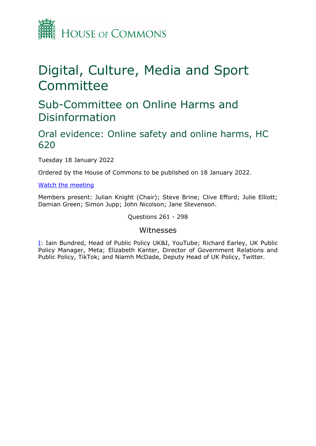

# Digital, Culture, Media and Sport Committee

## Sub-Committee on Online Harms and Disinformation

## Oral evidence: Online safety and online harms, HC 620

Tuesday 18 January 2022

Ordered by the House of Commons to be published on 18 January 2022.

[Watch](https://www.parliamentlive.tv/Event/Index/2fb6f98b-103f-4893-b9bc-800eed80bd0c) [the](https://www.parliamentlive.tv/Event/Index/2fb6f98b-103f-4893-b9bc-800eed80bd0c) [meeting](https://www.parliamentlive.tv/Event/Index/2fb6f98b-103f-4893-b9bc-800eed80bd0c)

Members present: Julian Knight (Chair); Steve Brine; Clive Efford; Julie Elliott; Damian Green; Simon Jupp; John Nicolson; Jane Stevenson.

Questions 261 - 298

### Witnesses

[I:](#page-1-0) Iain Bundred, Head of Public Policy UK&I, YouTube; Richard Earley, UK Public Policy Manager, Meta; Elizabeth Kanter, Director of Government Relations and Public Policy, TikTok; and Niamh McDade, Deputy Head of UK Policy, Twitter.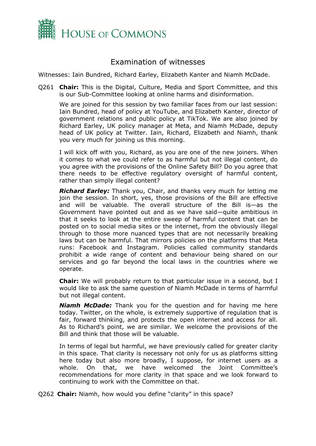

## <span id="page-1-0"></span>Examination of witnesses

Witnesses: Iain Bundred, Richard Earley, Elizabeth Kanter and Niamh McDade.

Q261 **Chair:** This is the Digital, Culture, Media and Sport Committee, and this is our Sub-Committee looking at online harms and disinformation.

We are joined for this session by two familiar faces from our last session: Iain Bundred, head of policy at YouTube, and Elizabeth Kanter, director of government relations and public policy at TikTok. We are also joined by Richard Earley, UK policy manager at Meta, and Niamh McDade, deputy head of UK policy at Twitter. Iain, Richard, Elizabeth and Niamh, thank you very much for joining us this morning.

I will kick off with you, Richard, as you are one of the new joiners. When it comes to what we could refer to as harmful but not illegal content, do you agree with the provisions of the Online Safety Bill? Do you agree that there needs to be effective regulatory oversight of harmful content, rather than simply illegal content?

*Richard Earley:* Thank you, Chair, and thanks very much for letting me join the session. In short, yes, those provisions of the Bill are effective and will be valuable. The overall structure of the Bill is—as the Government have pointed out and as we have said—quite ambitious in that it seeks to look at the entire sweep of harmful content that can be posted on to social media sites or the internet, from the obviously illegal through to those more nuanced types that are not necessarily breaking laws but can be harmful. That mirrors policies on the platforms that Meta runs: Facebook and Instagram. Policies called community standards prohibit a wide range of content and behaviour being shared on our services and go far beyond the local laws in the countries where we operate.

**Chair:** We will probably return to that particular issue in a second, but I would like to ask the same question of Niamh McDade in terms of harmful but not illegal content.

*Niamh McDade:* Thank you for the question and for having me here today. Twitter, on the whole, is extremely supportive of regulation that is fair, forward thinking, and protects the open internet and access for all. As to Richard's point, we are similar. We welcome the provisions of the Bill and think that those will be valuable.

In terms of legal but harmful, we have previously called for greater clarity in this space. That clarity is necessary not only for us as platforms sitting here today but also more broadly, I suppose, for internet users as a whole. On that, we have welcomed the Joint Committee's recommendations for more clarity in that space and we look forward to continuing to work with the Committee on that.

Q262 **Chair:** Niamh, how would you define "clarity" in this space?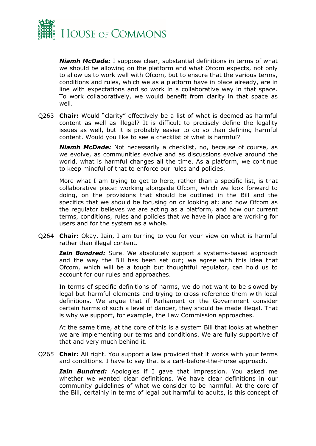

*Niamh McDade:* I suppose clear, substantial definitions in terms of what we should be allowing on the platform and what Ofcom expects, not only to allow us to work well with Ofcom, but to ensure that the various terms, conditions and rules, which we as a platform have in place already, are in line with expectations and so work in a collaborative way in that space. To work collaboratively, we would benefit from clarity in that space as well.

Q263 **Chair:** Would "clarity" effectively be a list of what is deemed as harmful content as well as illegal? It is difficult to precisely define the legality issues as well, but it is probably easier to do so than defining harmful content. Would you like to see a checklist of what is harmful?

*Niamh McDade:* Not necessarily a checklist, no, because of course, as we evolve, as communities evolve and as discussions evolve around the world, what is harmful changes all the time. As a platform, we continue to keep mindful of that to enforce our rules and policies.

More what I am trying to get to here, rather than a specific list, is that collaborative piece: working alongside Ofcom, which we look forward to doing, on the provisions that should be outlined in the Bill and the specifics that we should be focusing on or looking at; and how Ofcom as the regulator believes we are acting as a platform, and how our current terms, conditions, rules and policies that we have in place are working for users and for the system as a whole.

Q264 **Chair:** Okay. Iain, I am turning to you for your view on what is harmful rather than illegal content.

*Iain Bundred:* Sure. We absolutely support a systems-based approach and the way the Bill has been set out; we agree with this idea that Ofcom, which will be a tough but thoughtful regulator, can hold us to account for our rules and approaches.

In terms of specific definitions of harms, we do not want to be slowed by legal but harmful elements and trying to cross-reference them with local definitions. We argue that if Parliament or the Government consider certain harms of such a level of danger, they should be made illegal. That is why we support, for example, the Law Commission approaches.

At the same time, at the core of this is a system Bill that looks at whether we are implementing our terms and conditions. We are fully supportive of that and very much behind it.

Q265 **Chair:** All right. You support a law provided that it works with your terms and conditions. I have to say that is a cart-before-the-horse approach.

*Iain Bundred:* Apologies if I gave that impression. You asked me whether we wanted clear definitions. We have clear definitions in our community guidelines of what we consider to be harmful. At the core of the Bill, certainly in terms of legal but harmful to adults, is this concept of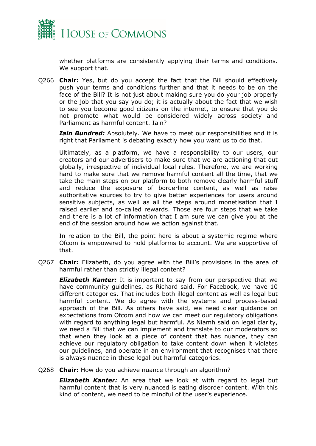

whether platforms are consistently applying their terms and conditions. We support that.

Q266 **Chair:** Yes, but do you accept the fact that the Bill should effectively push your terms and conditions further and that it needs to be on the face of the Bill? It is not just about making sure you do your job properly or the job that you say you do; it is actually about the fact that we wish to see you become good citizens on the internet, to ensure that you do not promote what would be considered widely across society and Parliament as harmful content. Iain?

*Iain Bundred:* Absolutely. We have to meet our responsibilities and it is right that Parliament is debating exactly how you want us to do that.

Ultimately, as a platform, we have a responsibility to our users, our creators and our advertisers to make sure that we are actioning that out globally, irrespective of individual local rules. Therefore, we are working hard to make sure that we remove harmful content all the time, that we take the main steps on our platform to both remove clearly harmful stuff and reduce the exposure of borderline content, as well as raise authoritative sources to try to give better experiences for users around sensitive subjects, as well as all the steps around monetisation that I raised earlier and so-called rewards. Those are four steps that we take and there is a lot of information that I am sure we can give you at the end of the session around how we action against that.

In relation to the Bill, the point here is about a systemic regime where Ofcom is empowered to hold platforms to account. We are supportive of that.

Q267 **Chair:** Elizabeth, do you agree with the Bill's provisions in the area of harmful rather than strictly illegal content?

**Elizabeth Kanter:** It is important to say from our perspective that we have community guidelines, as Richard said. For Facebook, we have 10 different categories. That includes both illegal content as well as legal but harmful content. We do agree with the systems and process-based approach of the Bill. As others have said, we need clear guidance on expectations from Ofcom and how we can meet our regulatory obligations with regard to anything legal but harmful. As Niamh said on legal clarity, we need a Bill that we can implement and translate to our moderators so that when they look at a piece of content that has nuance, they can achieve our regulatory obligation to take content down when it violates our guidelines, and operate in an environment that recognises that there is always nuance in these legal but harmful categories.

#### Q268 **Chair:** How do you achieve nuance through an algorithm?

*Elizabeth Kanter:* An area that we look at with regard to legal but harmful content that is very nuanced is eating disorder content. With this kind of content, we need to be mindful of the user's experience.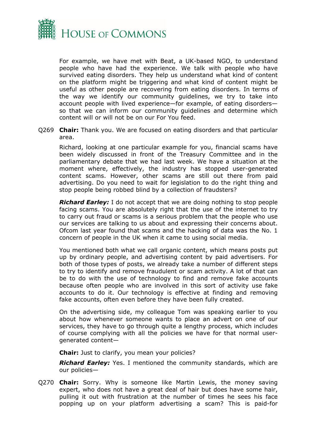

For example, we have met with Beat, a UK-based NGO, to understand people who have had the experience. We talk with people who have survived eating disorders. They help us understand what kind of content on the platform might be triggering and what kind of content might be useful as other people are recovering from eating disorders. In terms of the way we identify our community guidelines, we try to take into account people with lived experience—for example, of eating disorders so that we can inform our community guidelines and determine which content will or will not be on our For You feed.

Q269 **Chair:** Thank you. We are focused on eating disorders and that particular area.

Richard, looking at one particular example for you, financial scams have been widely discussed in front of the Treasury Committee and in the parliamentary debate that we had last week. We have a situation at the moment where, effectively, the industry has stopped user-generated content scams. However, other scams are still out there from paid advertising. Do you need to wait for legislation to do the right thing and stop people being robbed blind by a collection of fraudsters?

*Richard Earley:* I do not accept that we are doing nothing to stop people facing scams. You are absolutely right that the use of the internet to try to carry out fraud or scams is a serious problem that the people who use our services are talking to us about and expressing their concerns about. Ofcom last year found that scams and the hacking of data was the No. 1 concern of people in the UK when it came to using social media.

You mentioned both what we call organic content, which means posts put up by ordinary people, and advertising content by paid advertisers. For both of those types of posts, we already take a number of different steps to try to identify and remove fraudulent or scam activity. A lot of that can be to do with the use of technology to find and remove fake accounts because often people who are involved in this sort of activity use fake accounts to do it. Our technology is effective at finding and removing fake accounts, often even before they have been fully created.

On the advertising side, my colleague Tom was speaking earlier to you about how whenever someone wants to place an advert on one of our services, they have to go through quite a lengthy process, which includes of course complying with all the policies we have for that normal usergenerated content—

**Chair:** Just to clarify, you mean your policies?

*Richard Earley:* Yes. I mentioned the community standards, which are our policies—

Q270 **Chair:** Sorry. Why is someone like Martin Lewis, the money saving expert, who does not have a great deal of hair but does have some hair, pulling it out with frustration at the number of times he sees his face popping up on your platform advertising a scam? This is paid-for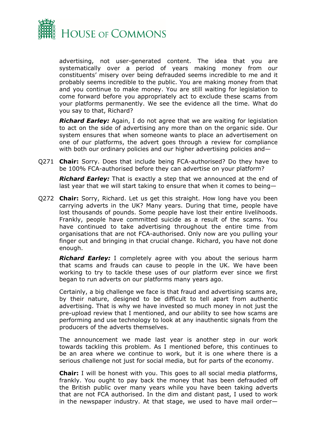

advertising, not user-generated content. The idea that you are systematically over a period of years making money from our constituents' misery over being defrauded seems incredible to me and it probably seems incredible to the public. You are making money from that and you continue to make money. You are still waiting for legislation to come forward before you appropriately act to exclude these scams from your platforms permanently. We see the evidence all the time. What do you say to that, Richard?

*Richard Earley:* Again, I do not agree that we are waiting for legislation to act on the side of advertising any more than on the organic side. Our system ensures that when someone wants to place an advertisement on one of our platforms, the advert goes through a review for compliance with both our ordinary policies and our higher advertising policies and—

Q271 **Chair:** Sorry. Does that include being FCA-authorised? Do they have to be 100% FCA-authorised before they can advertise on your platform?

*Richard Earley:* That is exactly a step that we announced at the end of last year that we will start taking to ensure that when it comes to being—

Q272 **Chair:** Sorry, Richard. Let us get this straight. How long have you been carrying adverts in the UK? Many years. During that time, people have lost thousands of pounds. Some people have lost their entire livelihoods. Frankly, people have committed suicide as a result of the scams. You have continued to take advertising throughout the entire time from organisations that are not FCA-authorised. Only now are you pulling your finger out and bringing in that crucial change. Richard, you have not done enough.

*Richard Earley:* I completely agree with you about the serious harm that scams and frauds can cause to people in the UK. We have been working to try to tackle these uses of our platform ever since we first began to run adverts on our platforms many years ago.

Certainly, a big challenge we face is that fraud and advertising scams are, by their nature, designed to be difficult to tell apart from authentic advertising. That is why we have invested so much money in not just the pre-upload review that I mentioned, and our ability to see how scams are performing and use technology to look at any inauthentic signals from the producers of the adverts themselves.

The announcement we made last year is another step in our work towards tackling this problem. As I mentioned before, this continues to be an area where we continue to work, but it is one where there is a serious challenge not just for social media, but for parts of the economy.

**Chair:** I will be honest with you. This goes to all social media platforms, frankly. You ought to pay back the money that has been defrauded off the British public over many years while you have been taking adverts that are not FCA authorised. In the dim and distant past, I used to work in the newspaper industry. At that stage, we used to have mail order—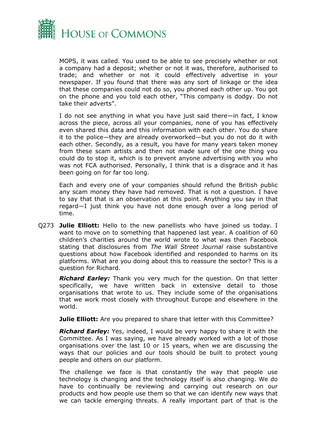

MOPS, it was called. You used to be able to see precisely whether or not a company had a deposit; whether or not it was, therefore, authorised to trade; and whether or not it could effectively advertise in your newspaper. If you found that there was any sort of linkage or the idea that these companies could not do so, you phoned each other up. You got on the phone and you told each other, "This company is dodgy. Do not take their adverts".

I do not see anything in what you have just said there—in fact, I know across the piece, across all your companies, none of you has effectively even shared this data and this information with each other. You do share it to the police—they are already overworked—but you do not do it with each other. Secondly, as a result, you have for many years taken money from these scam artists and then not made sure of the one thing you could do to stop it, which is to prevent anyone advertising with you who was not FCA authorised. Personally, I think that is a disgrace and it has been going on for far too long.

Each and every one of your companies should refund the British public any scam money they have had removed. That is not a question. I have to say that that is an observation at this point. Anything you say in that regard—I just think you have not done enough over a long period of time.

Q273 **Julie Elliott:** Hello to the new panellists who have joined us today. I want to move on to something that happened last year. A coalition of 60 children's charities around the world wrote to what was then Facebook stating that disclosures from *The Wall Street Journal* raise substantive questions about how Facebook identified and responded to harms on its platforms. What are you doing about this to reassure the sector? This is a question for Richard.

*Richard Earley:* Thank you very much for the question. On that letter specifically, we have written back in extensive detail to those organisations that wrote to us. They include some of the organisations that we work most closely with throughout Europe and elsewhere in the world.

**Julie Elliott:** Are you prepared to share that letter with this Committee?

*Richard Earley:* Yes, indeed, I would be very happy to share it with the Committee. As I was saying, we have already worked with a lot of those organisations over the last 10 or 15 years, when we are discussing the ways that our policies and our tools should be built to protect young people and others on our platform.

The challenge we face is that constantly the way that people use technology is changing and the technology itself is also changing. We do have to continually be reviewing and carrying out research on our products and how people use them so that we can identify new ways that we can tackle emerging threats. A really important part of that is the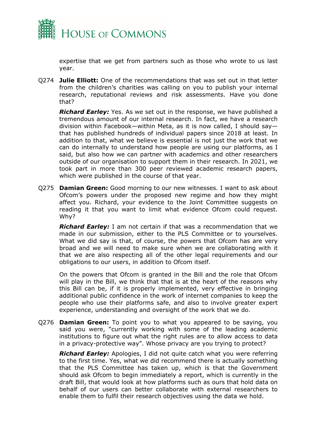

expertise that we get from partners such as those who wrote to us last year.

Q274 **Julie Elliott:** One of the recommendations that was set out in that letter from the children's charities was calling on you to publish your internal research, reputational reviews and risk assessments. Have you done that?

*Richard Earley:* Yes. As we set out in the response, we have published a tremendous amount of our internal research. In fact, we have a research division within Facebook—within Meta, as it is now called, I should say that has published hundreds of individual papers since 2018 at least. In addition to that, what we believe is essential is not just the work that we can do internally to understand how people are using our platforms, as I said, but also how we can partner with academics and other researchers outside of our organisation to support them in their research. In 2021, we took part in more than 300 peer reviewed academic research papers, which were published in the course of that year.

Q275 **Damian Green:** Good morning to our new witnesses. I want to ask about Ofcom's powers under the proposed new regime and how they might affect you. Richard, your evidence to the Joint Committee suggests on reading it that you want to limit what evidence Ofcom could request. Why?

*Richard Earley:* I am not certain if that was a recommendation that we made in our submission, either to the PLS Committee or to yourselves. What we did say is that, of course, the powers that Ofcom has are very broad and we will need to make sure when we are collaborating with it that we are also respecting all of the other legal requirements and our obligations to our users, in addition to Ofcom itself.

On the powers that Ofcom is granted in the Bill and the role that Ofcom will play in the Bill, we think that that is at the heart of the reasons why this Bill can be, if it is properly implemented, very effective in bringing additional public confidence in the work of internet companies to keep the people who use their platforms safe, and also to involve greater expert experience, understanding and oversight of the work that we do.

Q276 **Damian Green:** To point you to what you appeared to be saying, you said you were, "currently working with some of the leading academic institutions to figure out what the right rules are to allow access to data in a privacy-protective way". Whose privacy are you trying to protect?

*Richard Earley:* Apologies, I did not quite catch what you were referring to the first time. Yes, what we did recommend there is actually something that the PLS Committee has taken up, which is that the Government should ask Ofcom to begin immediately a report, which is currently in the draft Bill, that would look at how platforms such as ours that hold data on behalf of our users can better collaborate with external researchers to enable them to fulfil their research objectives using the data we hold.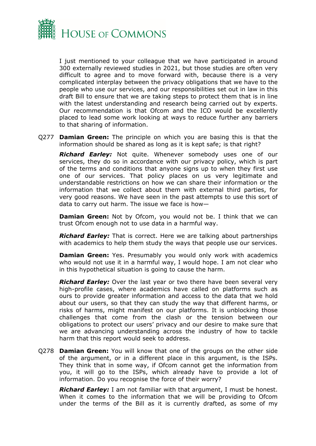

I just mentioned to your colleague that we have participated in around 300 externally reviewed studies in 2021, but those studies are often very difficult to agree and to move forward with, because there is a very complicated interplay between the privacy obligations that we have to the people who use our services, and our responsibilities set out in law in this draft Bill to ensure that we are taking steps to protect them that is in line with the latest understanding and research being carried out by experts. Our recommendation is that Ofcom and the ICO would be excellently placed to lead some work looking at ways to reduce further any barriers to that sharing of information.

Q277 **Damian Green:** The principle on which you are basing this is that the information should be shared as long as it is kept safe; is that right?

*Richard Earley:* Not quite. Whenever somebody uses one of our services, they do so in accordance with our privacy policy, which is part of the terms and conditions that anyone signs up to when they first use one of our services. That policy places on us very legitimate and understandable restrictions on how we can share their information or the information that we collect about them with external third parties, for very good reasons. We have seen in the past attempts to use this sort of data to carry out harm. The issue we face is how—

**Damian Green:** Not by Ofcom, you would not be. I think that we can trust Ofcom enough not to use data in a harmful way.

*Richard Earley:* That is correct. Here we are talking about partnerships with academics to help them study the ways that people use our services.

**Damian Green:** Yes. Presumably you would only work with academics who would not use it in a harmful way, I would hope. I am not clear who in this hypothetical situation is going to cause the harm.

*Richard Earley:* Over the last year or two there have been several very high-profile cases, where academics have called on platforms such as ours to provide greater information and access to the data that we hold about our users, so that they can study the way that different harms, or risks of harms, might manifest on our platforms. It is unblocking those challenges that come from the clash or the tension between our obligations to protect our users' privacy and our desire to make sure that we are advancing understanding across the industry of how to tackle harm that this report would seek to address.

Q278 **Damian Green:** You will know that one of the groups on the other side of the argument, or in a different place in this argument, is the ISPs. They think that in some way, if Ofcom cannot get the information from you, it will go to the ISPs, which already have to provide a lot of information. Do you recognise the force of their worry?

*Richard Earley:* I am not familiar with that argument, I must be honest. When it comes to the information that we will be providing to Ofcom under the terms of the Bill as it is currently drafted, as some of my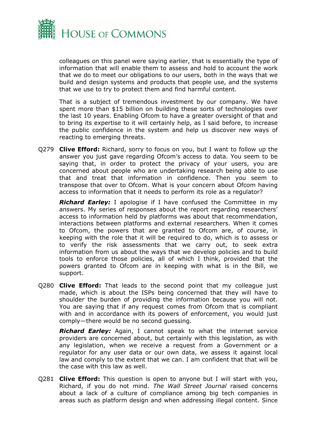

colleagues on this panel were saying earlier, that is essentially the type of information that will enable them to assess and hold to account the work that we do to meet our obligations to our users, both in the ways that we build and design systems and products that people use, and the systems that we use to try to protect them and find harmful content.

That is a subject of tremendous investment by our company. We have spent more than \$15 billion on building these sorts of technologies over the last 10 years. Enabling Ofcom to have a greater oversight of that and to bring its expertise to it will certainly help, as I said before, to increase the public confidence in the system and help us discover new ways of reacting to emerging threats.

Q279 **Clive Efford:** Richard, sorry to focus on you, but I want to follow up the answer you just gave regarding Ofcom's access to data. You seem to be saying that, in order to protect the privacy of your users, you are concerned about people who are undertaking research being able to use that and treat that information in confidence. Then you seem to transpose that over to Ofcom. What is your concern about Ofcom having access to information that it needs to perform its role as a regulator?

*Richard Earley:* I apologise if I have confused the Committee in my answers. My series of responses about the report regarding researchers' access to information held by platforms was about that recommendation, interactions between platforms and external researchers. When it comes to Ofcom, the powers that are granted to Ofcom are, of course, in keeping with the role that it will be required to do, which is to assess or to verify the risk assessments that we carry out, to seek extra information from us about the ways that we develop policies and to build tools to enforce those policies, all of which I think, provided that the powers granted to Ofcom are in keeping with what is in the Bill, we support.

Q280 **Clive Efford:** That leads to the second point that my colleague just made, which is about the ISPs being concerned that they will have to shoulder the burden of providing the information because you will not. You are saying that if any request comes from Ofcom that is compliant with and in accordance with its powers of enforcement, you would just comply—there would be no second guessing.

*Richard Earley:* Again, I cannot speak to what the internet service providers are concerned about, but certainly with this legislation, as with any legislation, when we receive a request from a Government or a regulator for any user data or our own data, we assess it against local law and comply to the extent that we can. I am confident that that will be the case with this law as well.

Q281 **Clive Efford:** This question is open to anyone but I will start with you, Richard, if you do not mind. *The Wall Street Journal* raised concerns about a lack of a culture of compliance among big tech companies in areas such as platform design and when addressing illegal content. Since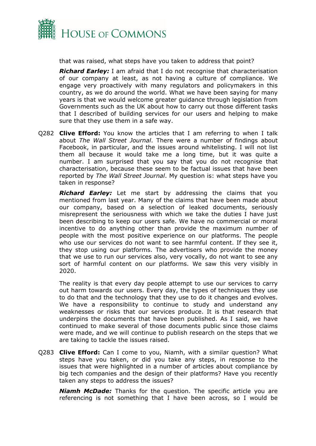

that was raised, what steps have you taken to address that point?

*Richard Earley:* I am afraid that I do not recognise that characterisation of our company at least, as not having a culture of compliance. We engage very proactively with many regulators and policymakers in this country, as we do around the world. What we have been saying for many years is that we would welcome greater guidance through legislation from Governments such as the UK about how to carry out those different tasks that I described of building services for our users and helping to make sure that they use them in a safe way.

Q282 **Clive Efford:** You know the articles that I am referring to when I talk about *The Wall Street Journal*. There were a number of findings about Facebook, in particular, and the issues around whitelisting. I will not list them all because it would take me a long time, but it was quite a number. I am surprised that you say that you do not recognise that characterisation, because these seem to be factual issues that have been reported by *The Wall Street Journal*. My question is: what steps have you taken in response?

*Richard Earley:* Let me start by addressing the claims that you mentioned from last year. Many of the claims that have been made about our company, based on a selection of leaked documents, seriously misrepresent the seriousness with which we take the duties I have just been describing to keep our users safe. We have no commercial or moral incentive to do anything other than provide the maximum number of people with the most positive experience on our platforms. The people who use our services do not want to see harmful content. If they see it, they stop using our platforms. The advertisers who provide the money that we use to run our services also, very vocally, do not want to see any sort of harmful content on our platforms. We saw this very visibly in 2020.

The reality is that every day people attempt to use our services to carry out harm towards our users. Every day, the types of techniques they use to do that and the technology that they use to do it changes and evolves. We have a responsibility to continue to study and understand any weaknesses or risks that our services produce. It is that research that underpins the documents that have been published. As I said, we have continued to make several of those documents public since those claims were made, and we will continue to publish research on the steps that we are taking to tackle the issues raised.

Q283 **Clive Efford:** Can I come to you, Niamh, with a similar question? What steps have you taken, or did you take any steps, in response to the issues that were highlighted in a number of articles about compliance by big tech companies and the design of their platforms? Have you recently taken any steps to address the issues?

*Niamh McDade:* Thanks for the question. The specific article you are referencing is not something that I have been across, so I would be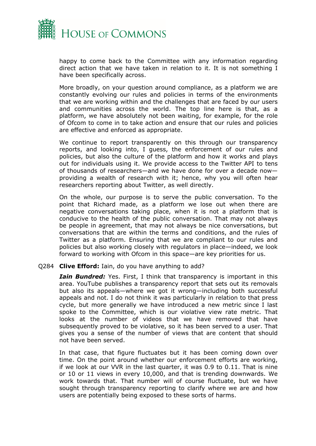

happy to come back to the Committee with any information regarding direct action that we have taken in relation to it. It is not something I have been specifically across.

More broadly, on your question around compliance, as a platform we are constantly evolving our rules and policies in terms of the environments that we are working within and the challenges that are faced by our users and communities across the world. The top line here is that, as a platform, we have absolutely not been waiting, for example, for the role of Ofcom to come in to take action and ensure that our rules and policies are effective and enforced as appropriate.

We continue to report transparently on this through our transparency reports, and looking into, I guess, the enforcement of our rules and policies, but also the culture of the platform and how it works and plays out for individuals using it. We provide access to the Twitter API to tens of thousands of researchers—and we have done for over a decade now providing a wealth of research with it; hence, why you will often hear researchers reporting about Twitter, as well directly.

On the whole, our purpose is to serve the public conversation. To the point that Richard made, as a platform we lose out when there are negative conversations taking place, when it is not a platform that is conducive to the health of the public conversation. That may not always be people in agreement, that may not always be nice conversations, but conversations that are within the terms and conditions, and the rules of Twitter as a platform. Ensuring that we are compliant to our rules and policies but also working closely with regulators in place—indeed, we look forward to working with Ofcom in this space—are key priorities for us.

#### Q284 **Clive Efford:** Iain, do you have anything to add?

*Iain Bundred:* Yes. First, I think that transparency is important in this area. YouTube publishes a transparency report that sets out its removals but also its appeals—where we got it wrong—including both successful appeals and not. I do not think it was particularly in relation to that press cycle, but more generally we have introduced a new metric since I last spoke to the Committee, which is our violative view rate metric. That looks at the number of videos that we have removed that have subsequently proved to be violative, so it has been served to a user. That gives you a sense of the number of views that are content that should not have been served.

In that case, that figure fluctuates but it has been coming down over time. On the point around whether our enforcement efforts are working, if we look at our VVR in the last quarter, it was 0.9 to 0.11. That is nine or 10 or 11 views in every 10,000, and that is trending downwards. We work towards that. That number will of course fluctuate, but we have sought through transparency reporting to clarify where we are and how users are potentially being exposed to these sorts of harms.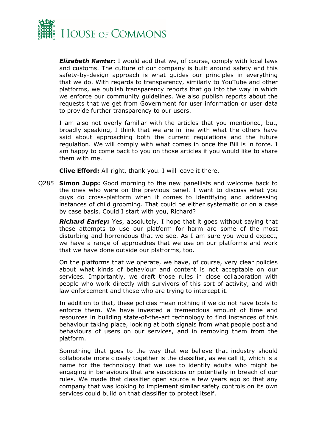

*Elizabeth Kanter:* I would add that we, of course, comply with local laws and customs. The culture of our company is built around safety and this safety-by-design approach is what guides our principles in everything that we do. With regards to transparency, similarly to YouTube and other platforms, we publish transparency reports that go into the way in which we enforce our community guidelines. We also publish reports about the requests that we get from Government for user information or user data to provide further transparency to our users.

I am also not overly familiar with the articles that you mentioned, but, broadly speaking, I think that we are in line with what the others have said about approaching both the current regulations and the future regulation. We will comply with what comes in once the Bill is in force. I am happy to come back to you on those articles if you would like to share them with me.

**Clive Efford:** All right, thank you. I will leave it there.

Q285 **Simon Jupp:** Good morning to the new panellists and welcome back to the ones who were on the previous panel. I want to discuss what you guys do cross-platform when it comes to identifying and addressing instances of child grooming. That could be either systematic or on a case by case basis. Could I start with you, Richard?

*Richard Earley:* Yes, absolutely. I hope that it goes without saying that these attempts to use our platform for harm are some of the most disturbing and horrendous that we see. As I am sure you would expect, we have a range of approaches that we use on our platforms and work that we have done outside our platforms, too.

On the platforms that we operate, we have, of course, very clear policies about what kinds of behaviour and content is not acceptable on our services. Importantly, we draft those rules in close collaboration with people who work directly with survivors of this sort of activity, and with law enforcement and those who are trying to intercept it.

In addition to that, these policies mean nothing if we do not have tools to enforce them. We have invested a tremendous amount of time and resources in building state-of-the-art technology to find instances of this behaviour taking place, looking at both signals from what people post and behaviours of users on our services, and in removing them from the platform.

Something that goes to the way that we believe that industry should collaborate more closely together is the classifier, as we call it, which is a name for the technology that we use to identify adults who might be engaging in behaviours that are suspicious or potentially in breach of our rules. We made that classifier open source a few years ago so that any company that was looking to implement similar safety controls on its own services could build on that classifier to protect itself.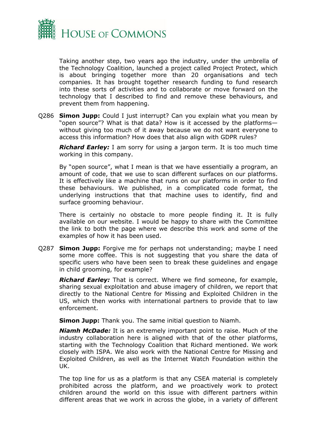

Taking another step, two years ago the industry, under the umbrella of the Technology Coalition, launched a project called Project Protect, which is about bringing together more than 20 organisations and tech companies. It has brought together research funding to fund research into these sorts of activities and to collaborate or move forward on the technology that I described to find and remove these behaviours, and prevent them from happening.

Q286 **Simon Jupp:** Could I just interrupt? Can you explain what you mean by "open source"? What is that data? How is it accessed by the platforms without giving too much of it away because we do not want everyone to access this information? How does that also align with GDPR rules?

*Richard Earley:* I am sorry for using a jargon term. It is too much time working in this company.

By "open source", what I mean is that we have essentially a program, an amount of code, that we use to scan different surfaces on our platforms. It is effectively like a machine that runs on our platforms in order to find these behaviours. We published, in a complicated code format, the underlying instructions that that machine uses to identify, find and surface grooming behaviour.

There is certainly no obstacle to more people finding it. It is fully available on our website. I would be happy to share with the Committee the link to both the page where we describe this work and some of the examples of how it has been used.

Q287 **Simon Jupp:** Forgive me for perhaps not understanding; maybe I need some more coffee. This is not suggesting that you share the data of specific users who have been seen to break these guidelines and engage in child grooming, for example?

*Richard Earley:* That is correct. Where we find someone, for example, sharing sexual exploitation and abuse imagery of children, we report that directly to the National Centre for Missing and Exploited Children in the US, which then works with international partners to provide that to law enforcement.

**Simon Jupp:** Thank you. The same initial question to Niamh.

*Niamh McDade:* It is an extremely important point to raise. Much of the industry collaboration here is aligned with that of the other platforms, starting with the Technology Coalition that Richard mentioned. We work closely with ISPA. We also work with the National Centre for Missing and Exploited Children, as well as the Internet Watch Foundation within the UK.

The top line for us as a platform is that any CSEA material is completely prohibited across the platform, and we proactively work to protect children around the world on this issue with different partners within different areas that we work in across the globe, in a variety of different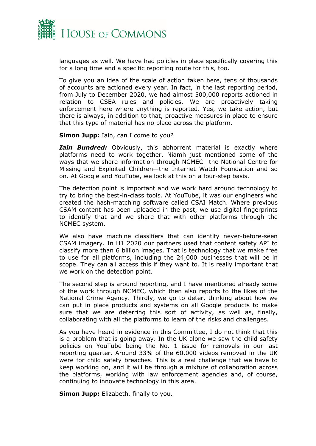

languages as well. We have had policies in place specifically covering this for a long time and a specific reporting route for this, too.

To give you an idea of the scale of action taken here, tens of thousands of accounts are actioned every year. In fact, in the last reporting period, from July to December 2020, we had almost 500,000 reports actioned in relation to CSEA rules and policies. We are proactively taking enforcement here where anything is reported. Yes, we take action, but there is always, in addition to that, proactive measures in place to ensure that this type of material has no place across the platform.

**Simon Jupp:** Iain, can I come to you?

*Iain Bundred:* Obviously, this abhorrent material is exactly where platforms need to work together. Niamh just mentioned some of the ways that we share information through NCMEC—the National Centre for Missing and Exploited Children—the Internet Watch Foundation and so on. At Google and YouTube, we look at this on a four-step basis.

The detection point is important and we work hard around technology to try to bring the best-in-class tools. At YouTube, it was our engineers who created the hash-matching software called CSAI Match. Where previous CSAM content has been uploaded in the past, we use digital fingerprints to identify that and we share that with other platforms through the NCMEC system.

We also have machine classifiers that can identify never-before-seen CSAM imagery. In H1 2020 our partners used that content safety API to classify more than 6 billion images. That is technology that we make free to use for all platforms, including the 24,000 businesses that will be in scope. They can all access this if they want to. It is really important that we work on the detection point.

The second step is around reporting, and I have mentioned already some of the work through NCMEC, which then also reports to the likes of the National Crime Agency. Thirdly, we go to deter, thinking about how we can put in place products and systems on all Google products to make sure that we are deterring this sort of activity, as well as, finally, collaborating with all the platforms to learn of the risks and challenges.

As you have heard in evidence in this Committee, I do not think that this is a problem that is going away. In the UK alone we saw the child safety policies on YouTube being the No. 1 issue for removals in our last reporting quarter. Around 33% of the 60,000 videos removed in the UK were for child safety breaches. This is a real challenge that we have to keep working on, and it will be through a mixture of collaboration across the platforms, working with law enforcement agencies and, of course, continuing to innovate technology in this area.

**Simon Jupp:** Elizabeth, finally to you.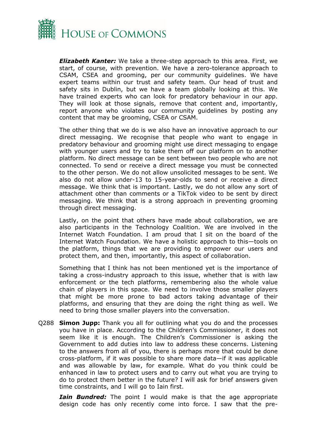

*Elizabeth Kanter:* We take a three-step approach to this area. First, we start, of course, with prevention. We have a zero-tolerance approach to CSAM, CSEA and grooming, per our community guidelines. We have expert teams within our trust and safety team. Our head of trust and safety sits in Dublin, but we have a team globally looking at this. We have trained experts who can look for predatory behaviour in our app. They will look at those signals, remove that content and, importantly, report anyone who violates our community guidelines by posting any content that may be grooming, CSEA or CSAM.

The other thing that we do is we also have an innovative approach to our direct messaging. We recognise that people who want to engage in predatory behaviour and grooming might use direct messaging to engage with younger users and try to take them off our platform on to another platform. No direct message can be sent between two people who are not connected. To send or receive a direct message you must be connected to the other person. We do not allow unsolicited messages to be sent. We also do not allow under-13 to 15-year-olds to send or receive a direct message. We think that is important. Lastly, we do not allow any sort of attachment other than comments or a TikTok video to be sent by direct messaging. We think that is a strong approach in preventing grooming through direct messaging.

Lastly, on the point that others have made about collaboration, we are also participants in the Technology Coalition. We are involved in the Internet Watch Foundation. I am proud that I sit on the board of the Internet Watch Foundation. We have a holistic approach to this—tools on the platform, things that we are providing to empower our users and protect them, and then, importantly, this aspect of collaboration.

Something that I think has not been mentioned yet is the importance of taking a cross-industry approach to this issue, whether that is with law enforcement or the tech platforms, remembering also the whole value chain of players in this space. We need to involve those smaller players that might be more prone to bad actors taking advantage of their platforms, and ensuring that they are doing the right thing as well. We need to bring those smaller players into the conversation.

Q288 **Simon Jupp:** Thank you all for outlining what you do and the processes you have in place. According to the Children's Commissioner, it does not seem like it is enough. The Children's Commissioner is asking the Government to add duties into law to address these concerns. Listening to the answers from all of you, there is perhaps more that could be done cross-platform, if it was possible to share more data—if it was applicable and was allowable by law, for example. What do you think could be enhanced in law to protect users and to carry out what you are trying to do to protect them better in the future? I will ask for brief answers given time constraints, and I will go to Iain first.

*Iain Bundred:* The point I would make is that the age appropriate design code has only recently come into force. I saw that the pre-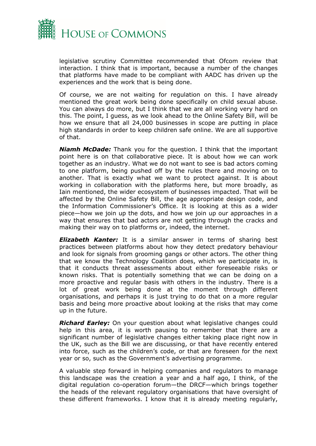

legislative scrutiny Committee recommended that Ofcom review that interaction. I think that is important, because a number of the changes that platforms have made to be compliant with AADC has driven up the experiences and the work that is being done.

Of course, we are not waiting for regulation on this. I have already mentioned the great work being done specifically on child sexual abuse. You can always do more, but I think that we are all working very hard on this. The point, I guess, as we look ahead to the Online Safety Bill, will be how we ensure that all 24,000 businesses in scope are putting in place high standards in order to keep children safe online. We are all supportive of that.

*Niamh McDade:* Thank you for the question. I think that the important point here is on that collaborative piece. It is about how we can work together as an industry. What we do not want to see is bad actors coming to one platform, being pushed off by the rules there and moving on to another. That is exactly what we want to protect against. It is about working in collaboration with the platforms here, but more broadly, as Iain mentioned, the wider ecosystem of businesses impacted. That will be affected by the Online Safety Bill, the age appropriate design code, and the Information Commissioner's Office. It is looking at this as a wider piece—how we join up the dots, and how we join up our approaches in a way that ensures that bad actors are not getting through the cracks and making their way on to platforms or, indeed, the internet.

*Elizabeth Kanter:* It is a similar answer in terms of sharing best practices between platforms about how they detect predatory behaviour and look for signals from grooming gangs or other actors. The other thing that we know the Technology Coalition does, which we participate in, is that it conducts threat assessments about either foreseeable risks or known risks. That is potentially something that we can be doing on a more proactive and regular basis with others in the industry. There is a lot of great work being done at the moment through different organisations, and perhaps it is just trying to do that on a more regular basis and being more proactive about looking at the risks that may come up in the future.

*Richard Earley:* On your question about what legislative changes could help in this area, it is worth pausing to remember that there are a significant number of legislative changes either taking place right now in the UK, such as the Bill we are discussing, or that have recently entered into force, such as the children's code, or that are foreseen for the next year or so, such as the Government's advertising programme.

A valuable step forward in helping companies and regulators to manage this landscape was the creation a year and a half ago, I think, of the digital regulation co-operation forum—the DRCF—which brings together the heads of the relevant regulatory organisations that have oversight of these different frameworks. I know that it is already meeting regularly,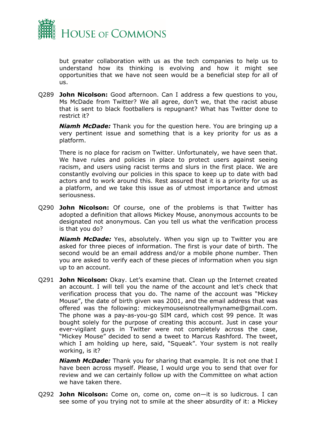

but greater collaboration with us as the tech companies to help us to understand how its thinking is evolving and how it might see opportunities that we have not seen would be a beneficial step for all of us.

Q289 **John Nicolson:** Good afternoon. Can I address a few questions to you, Ms McDade from Twitter? We all agree, don't we, that the racist abuse that is sent to black footballers is repugnant? What has Twitter done to restrict it?

*Niamh McDade:* Thank you for the question here. You are bringing up a very pertinent issue and something that is a key priority for us as a platform.

There is no place for racism on Twitter. Unfortunately, we have seen that. We have rules and policies in place to protect users against seeing racism, and users using racist terms and slurs in the first place. We are constantly evolving our policies in this space to keep up to date with bad actors and to work around this. Rest assured that it is a priority for us as a platform, and we take this issue as of utmost importance and utmost seriousness.

Q290 **John Nicolson:** Of course, one of the problems is that Twitter has adopted a definition that allows Mickey Mouse, anonymous accounts to be designated not anonymous. Can you tell us what the verification process is that you do?

*Niamh McDade:* Yes, absolutely. When you sign up to Twitter you are asked for three pieces of information. The first is your date of birth. The second would be an email address and/or a mobile phone number. Then you are asked to verify each of these pieces of information when you sign up to an account.

Q291 **John Nicolson:** Okay. Let's examine that. Clean up the Internet created an account. I will tell you the name of the account and let's check that verification process that you do. The name of the account was "Mickey Mouse", the date of birth given was 2001, and the email address that was offered was the following: mickeymouseisnotreallymyname@gmail.com. The phone was a pay-as-you-go SIM card, which cost 99 pence. It was bought solely for the purpose of creating this account. Just in case your ever-vigilant guys in Twitter were not completely across the case, "Mickey Mouse" decided to send a tweet to Marcus Rashford. The tweet, which I am holding up here, said, "Squeak". Your system is not really working, is it?

*Niamh McDade:* Thank you for sharing that example. It is not one that I have been across myself. Please, I would urge you to send that over for review and we can certainly follow up with the Committee on what action we have taken there.

Q292 **John Nicolson:** Come on, come on, come on—it is so ludicrous. I can see some of you trying not to smile at the sheer absurdity of it: a Mickey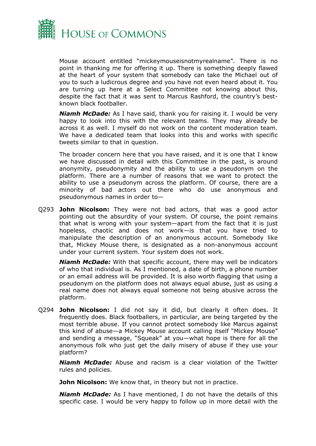

Mouse account entitled "mickeymouseisnotmyrealname". There is no point in thanking me for offering it up. There is something deeply flawed at the heart of your system that somebody can take the Michael out of you to such a ludicrous degree and you have not even heard about it. You are turning up here at a Select Committee not knowing about this, despite the fact that it was sent to Marcus Rashford, the country's bestknown black footballer.

*Niamh McDade:* As I have said, thank you for raising it. I would be very happy to look into this with the relevant teams. They may already be across it as well. I myself do not work on the content moderation team. We have a dedicated team that looks into this and works with specific tweets similar to that in question.

The broader concern here that you have raised, and it is one that I know we have discussed in detail with this Committee in the past, is around anonymity, pseudonymity and the ability to use a pseudonym on the platform. There are a number of reasons that we want to protect the ability to use a pseudonym across the platform. Of course, there are a minority of bad actors out there who do use anonymous and pseudonymous names in order to—

Q293 **John Nicolson:** They were not bad actors, that was a good actor pointing out the absurdity of your system. Of course, the point remains that what is wrong with your system—apart from the fact that it is just hopeless, chaotic and does not work—is that you have tried to manipulate the description of an anonymous account. Somebody like that, Mickey Mouse there, is designated as a non-anonymous account under your current system. Your system does not work.

*Niamh McDade:* With that specific account, there may well be indicators of who that individual is. As I mentioned, a date of birth, a phone number or an email address will be provided. It is also worth flagging that using a pseudonym on the platform does not always equal abuse, just as using a real name does not always equal someone not being abusive across the platform.

Q294 **John Nicolson:** I did not say it did, but clearly it often does. It frequently does. Black footballers, in particular, are being targeted by the most terrible abuse. If you cannot protect somebody like Marcus against this kind of abuse—a Mickey Mouse account calling itself "Mickey Mouse" and sending a message, "Squeak" at you—what hope is there for all the anonymous folk who just get the daily misery of abuse if they use your platform?

*Niamh McDade:* Abuse and racism is a clear violation of the Twitter rules and policies.

**John Nicolson:** We know that, in theory but not in practice.

*Niamh McDade:* As I have mentioned, I do not have the details of this specific case. I would be very happy to follow up in more detail with the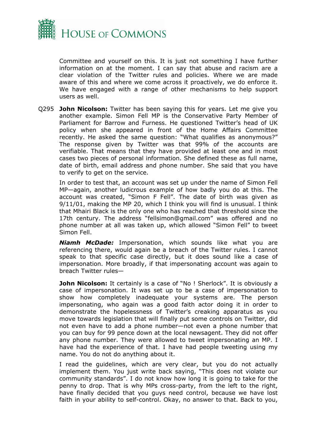

Committee and yourself on this. It is just not something I have further information on at the moment. I can say that abuse and racism are a clear violation of the Twitter rules and policies. Where we are made aware of this and where we come across it proactively, we do enforce it. We have engaged with a range of other mechanisms to help support users as well.

Q295 **John Nicolson:** Twitter has been saying this for years. Let me give you another example. Simon Fell MP is the Conservative Party Member of Parliament for Barrow and Furness. He questioned Twitter's head of UK policy when she appeared in front of the Home Affairs Committee recently. He asked the same question: "What qualifies as anonymous?" The response given by Twitter was that 99% of the accounts are verifiable. That means that they have provided at least one and in most cases two pieces of personal information. She defined these as full name, date of birth, email address and phone number. She said that you have to verify to get on the service.

In order to test that, an account was set up under the name of Simon Fell MP—again, another ludicrous example of how badly you do at this. The account was created, "Simon F Fell". The date of birth was given as 9/11/01, making the MP 20, which I think you will find is unusual. I think that Mhairi Black is the only one who has reached that threshold since the 17th century. The address "fellsimon@gmail.com" was offered and no phone number at all was taken up, which allowed "Simon Fell" to tweet Simon Fell.

*Niamh McDade:* Impersonation, which sounds like what you are referencing there, would again be a breach of the Twitter rules. I cannot speak to that specific case directly, but it does sound like a case of impersonation. More broadly, if that impersonating account was again to breach Twitter rules—

**John Nicolson:** It certainly is a case of "No ! Sherlock". It is obviously a case of impersonation. It was set up to be a case of impersonation to show how completely inadequate your systems are. The person impersonating, who again was a good faith actor doing it in order to demonstrate the hopelessness of Twitter's creaking apparatus as you move towards legislation that will finally put some controls on Twitter, did not even have to add a phone number—not even a phone number that you can buy for 99 pence down at the local newsagent. They did not offer any phone number. They were allowed to tweet impersonating an MP. I have had the experience of that. I have had people tweeting using my name. You do not do anything about it.

I read the guidelines, which are very clear, but you do not actually implement them. You just write back saying, "This does not violate our community standards". I do not know how long it is going to take for the penny to drop. That is why MPs cross-party, from the left to the right, have finally decided that you guys need control, because we have lost faith in your ability to self-control. Okay, no answer to that. Back to you,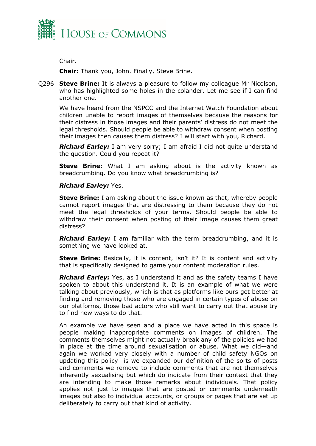

Chair.

**Chair:** Thank you, John. Finally, Steve Brine.

Q296 **Steve Brine:** It is always a pleasure to follow my colleague Mr Nicolson, who has highlighted some holes in the colander. Let me see if I can find another one.

We have heard from the NSPCC and the Internet Watch Foundation about children unable to report images of themselves because the reasons for their distress in those images and their parents' distress do not meet the legal thresholds. Should people be able to withdraw consent when posting their images then causes them distress? I will start with you, Richard.

*Richard Earley:* I am very sorry; I am afraid I did not quite understand the question. Could you repeat it?

**Steve Brine:** What I am asking about is the activity known as breadcrumbing. Do you know what breadcrumbing is?

### *Richard Earley:* Yes.

**Steve Brine:** I am asking about the issue known as that, whereby people cannot report images that are distressing to them because they do not meet the legal thresholds of your terms. Should people be able to withdraw their consent when posting of their image causes them great distress?

*Richard Earley:* I am familiar with the term breadcrumbing, and it is something we have looked at.

**Steve Brine:** Basically, it is content, isn't it? It is content and activity that is specifically designed to game your content moderation rules.

*Richard Earley:* Yes, as I understand it and as the safety teams I have spoken to about this understand it. It is an example of what we were talking about previously, which is that as platforms like ours get better at finding and removing those who are engaged in certain types of abuse on our platforms, those bad actors who still want to carry out that abuse try to find new ways to do that.

An example we have seen and a place we have acted in this space is people making inappropriate comments on images of children. The comments themselves might not actually break any of the policies we had in place at the time around sexualisation or abuse. What we did—and again we worked very closely with a number of child safety NGOs on updating this policy—is we expanded our definition of the sorts of posts and comments we remove to include comments that are not themselves inherently sexualising but which do indicate from their context that they are intending to make those remarks about individuals. That policy applies not just to images that are posted or comments underneath images but also to individual accounts, or groups or pages that are set up deliberately to carry out that kind of activity.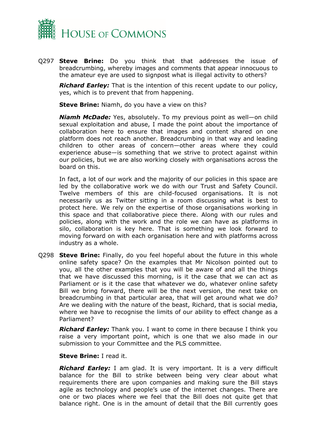

Q297 **Steve Brine:** Do you think that that addresses the issue of breadcrumbing, whereby images and comments that appear innocuous to the amateur eye are used to signpost what is illegal activity to others?

*Richard Earley:* That is the intention of this recent update to our policy, yes, which is to prevent that from happening.

**Steve Brine:** Niamh, do you have a view on this?

*Niamh McDade:* Yes, absolutely. To my previous point as well—on child sexual exploitation and abuse, I made the point about the importance of collaboration here to ensure that images and content shared on one platform does not reach another. Breadcrumbing in that way and leading children to other areas of concern—other areas where they could experience abuse—is something that we strive to protect against within our policies, but we are also working closely with organisations across the board on this.

In fact, a lot of our work and the majority of our policies in this space are led by the collaborative work we do with our Trust and Safety Council. Twelve members of this are child-focused organisations. It is not necessarily us as Twitter sitting in a room discussing what is best to protect here. We rely on the expertise of those organisations working in this space and that collaborative piece there. Along with our rules and policies, along with the work and the role we can have as platforms in silo, collaboration is key here. That is something we look forward to moving forward on with each organisation here and with platforms across industry as a whole.

Q298 **Steve Brine:** Finally, do you feel hopeful about the future in this whole online safety space? On the examples that Mr Nicolson pointed out to you, all the other examples that you will be aware of and all the things that we have discussed this morning, is it the case that we can act as Parliament or is it the case that whatever we do, whatever online safety Bill we bring forward, there will be the next version, the next take on breadcrumbing in that particular area, that will get around what we do? Are we dealing with the nature of the beast, Richard, that is social media, where we have to recognise the limits of our ability to effect change as a Parliament?

*Richard Earley:* Thank you. I want to come in there because I think you raise a very important point, which is one that we also made in our submission to your Committee and the PLS committee.

**Steve Brine:** I read it.

*Richard Earley:* I am glad. It is very important. It is a very difficult balance for the Bill to strike between being very clear about what requirements there are upon companies and making sure the Bill stays agile as technology and people's use of the internet changes. There are one or two places where we feel that the Bill does not quite get that balance right. One is in the amount of detail that the Bill currently goes